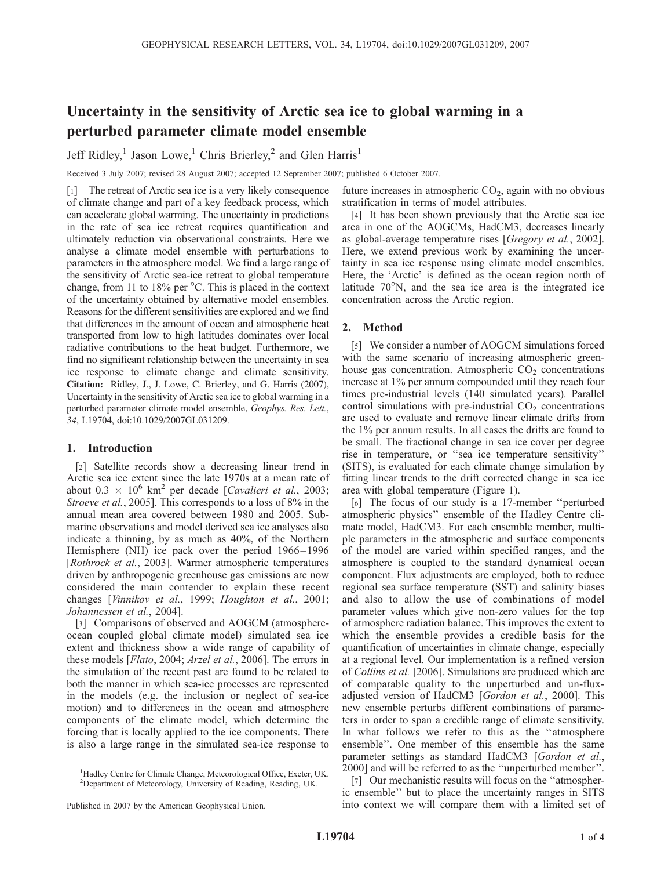# Uncertainty in the sensitivity of Arctic sea ice to global warming in a perturbed parameter climate model ensemble

Jeff Ridley,<sup>1</sup> Jason Lowe,<sup>1</sup> Chris Brierley,<sup>2</sup> and Glen Harris<sup>1</sup>

Received 3 July 2007; revised 28 August 2007; accepted 12 September 2007; published 6 October 2007.

[1] The retreat of Arctic sea ice is a very likely consequence of climate change and part of a key feedback process, which can accelerate global warming. The uncertainty in predictions in the rate of sea ice retreat requires quantification and ultimately reduction via observational constraints. Here we analyse a climate model ensemble with perturbations to parameters in the atmosphere model. We find a large range of the sensitivity of Arctic sea-ice retreat to global temperature change, from 11 to 18% per  $\degree$ C. This is placed in the context of the uncertainty obtained by alternative model ensembles. Reasons for the different sensitivities are explored and we find that differences in the amount of ocean and atmospheric heat transported from low to high latitudes dominates over local radiative contributions to the heat budget. Furthermore, we find no significant relationship between the uncertainty in sea ice response to climate change and climate sensitivity. Citation: Ridley, J., J. Lowe, C. Brierley, and G. Harris (2007), Uncertainty in the sensitivity of Arctic sea ice to global warming in a perturbed parameter climate model ensemble, Geophys. Res. Lett., 34, L19704, doi:10.1029/2007GL031209.

## 1. Introduction

[2] Satellite records show a decreasing linear trend in Arctic sea ice extent since the late 1970s at a mean rate of about  $0.3 \times 10^6$  km<sup>2</sup> per decade [Cavalieri et al., 2003; Stroeve et al., 2005]. This corresponds to a loss of 8% in the annual mean area covered between 1980 and 2005. Submarine observations and model derived sea ice analyses also indicate a thinning, by as much as 40%, of the Northern Hemisphere (NH) ice pack over the period 1966–1996 [Rothrock et al., 2003]. Warmer atmospheric temperatures driven by anthropogenic greenhouse gas emissions are now considered the main contender to explain these recent changes [Vinnikov et al., 1999; Houghton et al., 2001; Johannessen et al., 2004].

[3] Comparisons of observed and AOGCM (atmosphereocean coupled global climate model) simulated sea ice extent and thickness show a wide range of capability of these models [Flato, 2004; Arzel et al., 2006]. The errors in the simulation of the recent past are found to be related to both the manner in which sea-ice processes are represented in the models (e.g. the inclusion or neglect of sea-ice motion) and to differences in the ocean and atmosphere components of the climate model, which determine the forcing that is locally applied to the ice components. There is also a large range in the simulated sea-ice response to

future increases in atmospheric  $CO<sub>2</sub>$ , again with no obvious stratification in terms of model attributes.

[4] It has been shown previously that the Arctic sea ice area in one of the AOGCMs, HadCM3, decreases linearly as global-average temperature rises [Gregory et al., 2002]. Here, we extend previous work by examining the uncertainty in sea ice response using climate model ensembles. Here, the 'Arctic' is defined as the ocean region north of latitude  $70^{\circ}$ N, and the sea ice area is the integrated ice concentration across the Arctic region.

# 2. Method

[5] We consider a number of AOGCM simulations forced with the same scenario of increasing atmospheric greenhouse gas concentration. Atmospheric  $CO<sub>2</sub>$  concentrations increase at 1% per annum compounded until they reach four times pre-industrial levels (140 simulated years). Parallel control simulations with pre-industrial  $CO<sub>2</sub>$  concentrations are used to evaluate and remove linear climate drifts from the 1% per annum results. In all cases the drifts are found to be small. The fractional change in sea ice cover per degree rise in temperature, or ''sea ice temperature sensitivity'' (SITS), is evaluated for each climate change simulation by fitting linear trends to the drift corrected change in sea ice area with global temperature (Figure 1).

[6] The focus of our study is a 17-member "perturbed" atmospheric physics'' ensemble of the Hadley Centre climate model, HadCM3. For each ensemble member, multiple parameters in the atmospheric and surface components of the model are varied within specified ranges, and the atmosphere is coupled to the standard dynamical ocean component. Flux adjustments are employed, both to reduce regional sea surface temperature (SST) and salinity biases and also to allow the use of combinations of model parameter values which give non-zero values for the top of atmosphere radiation balance. This improves the extent to which the ensemble provides a credible basis for the quantification of uncertainties in climate change, especially at a regional level. Our implementation is a refined version of Collins et al. [2006]. Simulations are produced which are of comparable quality to the unperturbed and un-fluxadjusted version of HadCM3 [Gordon et al., 2000]. This new ensemble perturbs different combinations of parameters in order to span a credible range of climate sensitivity. In what follows we refer to this as the ''atmosphere ensemble''. One member of this ensemble has the same parameter settings as standard HadCM3 [Gordon et al., 2000] and will be referred to as the ''unperturbed member''.

[7] Our mechanistic results will focus on the "atmospheric ensemble'' but to place the uncertainty ranges in SITS into context we will compare them with a limited set of

<sup>&</sup>lt;sup>1</sup>Hadley Centre for Climate Change, Meteorological Office, Exeter, UK. 2 Department of Meteorology, University of Reading, Reading, UK.

Published in 2007 by the American Geophysical Union.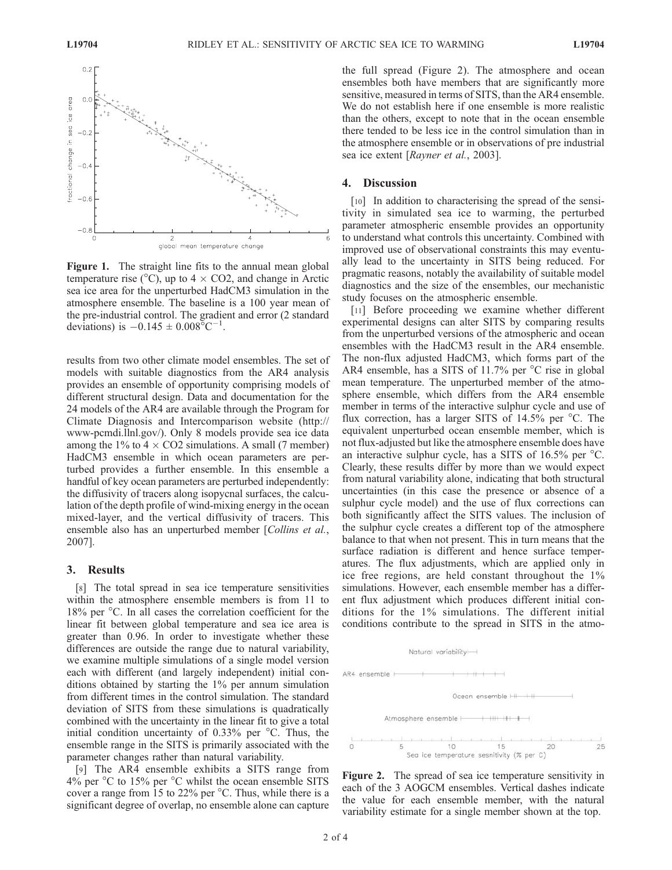

Figure 1. The straight line fits to the annual mean global temperature rise ( $\degree$ C), up to 4  $\times$  CO2, and change in Arctic sea ice area for the unperturbed HadCM3 simulation in the atmosphere ensemble. The baseline is a 100 year mean of the pre-industrial control. The gradient and error (2 standard deviations) is  $-0.145 \pm 0.008^{\circ}C^{-1}$ .

results from two other climate model ensembles. The set of models with suitable diagnostics from the AR4 analysis provides an ensemble of opportunity comprising models of different structural design. Data and documentation for the 24 models of the AR4 are available through the Program for Climate Diagnosis and Intercomparison website (http:// www-pcmdi.llnl.gov/). Only 8 models provide sea ice data among the 1% to 4  $\times$  CO2 simulations. A small (7 member) HadCM3 ensemble in which ocean parameters are perturbed provides a further ensemble. In this ensemble a handful of key ocean parameters are perturbed independently: the diffusivity of tracers along isopycnal surfaces, the calculation of the depth profile of wind-mixing energy in the ocean mixed-layer, and the vertical diffusivity of tracers. This ensemble also has an unperturbed member [Collins et al., 2007].

#### 3. Results

[8] The total spread in sea ice temperature sensitivities within the atmosphere ensemble members is from 11 to 18% per <sup>o</sup>C. In all cases the correlation coefficient for the linear fit between global temperature and sea ice area is greater than 0.96. In order to investigate whether these differences are outside the range due to natural variability, we examine multiple simulations of a single model version each with different (and largely independent) initial conditions obtained by starting the 1% per annum simulation from different times in the control simulation. The standard deviation of SITS from these simulations is quadratically combined with the uncertainty in the linear fit to give a total initial condition uncertainty of  $0.33\%$  per  $\degree$ C. Thus, the ensemble range in the SITS is primarily associated with the parameter changes rather than natural variability.

[9] The AR4 ensemble exhibits a SITS range from  $4\%$  per  $\degree$ C to 15% per  $\degree$ C whilst the ocean ensemble SITS cover a range from 15 to 22% per  $\degree$ C. Thus, while there is a significant degree of overlap, no ensemble alone can capture the full spread (Figure 2). The atmosphere and ocean ensembles both have members that are significantly more sensitive, measured in terms of SITS, than the AR4 ensemble. We do not establish here if one ensemble is more realistic than the others, except to note that in the ocean ensemble there tended to be less ice in the control simulation than in the atmosphere ensemble or in observations of pre industrial sea ice extent [Rayner et al., 2003].

### 4. Discussion

[10] In addition to characterising the spread of the sensitivity in simulated sea ice to warming, the perturbed parameter atmospheric ensemble provides an opportunity to understand what controls this uncertainty. Combined with improved use of observational constraints this may eventually lead to the uncertainty in SITS being reduced. For pragmatic reasons, notably the availability of suitable model diagnostics and the size of the ensembles, our mechanistic study focuses on the atmospheric ensemble.

[11] Before proceeding we examine whether different experimental designs can alter SITS by comparing results from the unperturbed versions of the atmospheric and ocean ensembles with the HadCM3 result in the AR4 ensemble. The non-flux adjusted HadCM3, which forms part of the AR4 ensemble, has a SITS of 11.7% per  $\degree$ C rise in global mean temperature. The unperturbed member of the atmosphere ensemble, which differs from the AR4 ensemble member in terms of the interactive sulphur cycle and use of flux correction, has a larger SITS of 14.5% per  $\degree$ C. The equivalent unperturbed ocean ensemble member, which is not flux-adjusted but like the atmosphere ensemble does have an interactive sulphur cycle, has a SITS of  $16.5\%$  per  $\degree$ C. Clearly, these results differ by more than we would expect from natural variability alone, indicating that both structural uncertainties (in this case the presence or absence of a sulphur cycle model) and the use of flux corrections can both significantly affect the SITS values. The inclusion of the sulphur cycle creates a different top of the atmosphere balance to that when not present. This in turn means that the surface radiation is different and hence surface temperatures. The flux adjustments, which are applied only in ice free regions, are held constant throughout the 1% simulations. However, each ensemble member has a different flux adjustment which produces different initial conditions for the 1% simulations. The different initial conditions contribute to the spread in SITS in the atmo-



Figure 2. The spread of sea ice temperature sensitivity in each of the 3 AOGCM ensembles. Vertical dashes indicate the value for each ensemble member, with the natural variability estimate for a single member shown at the top.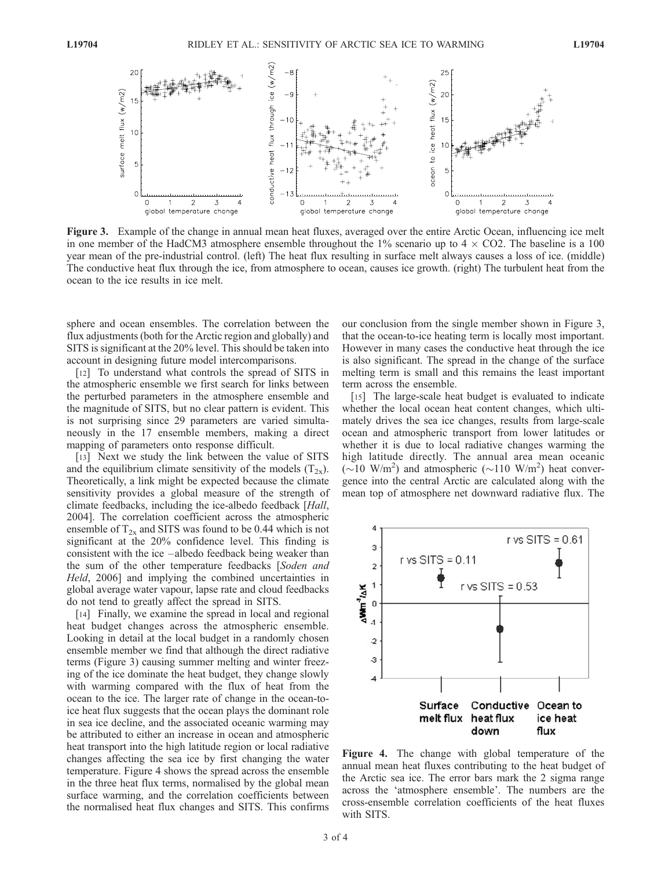

Figure 3. Example of the change in annual mean heat fluxes, averaged over the entire Arctic Ocean, influencing ice melt in one member of the HadCM3 atmosphere ensemble throughout the  $1\%$  scenario up to  $4 \times CO2$ . The baseline is a 100 year mean of the pre-industrial control. (left) The heat flux resulting in surface melt always causes a loss of ice. (middle) The conductive heat flux through the ice, from atmosphere to ocean, causes ice growth. (right) The turbulent heat from the ocean to the ice results in ice melt.

sphere and ocean ensembles. The correlation between the flux adjustments (both for the Arctic region and globally) and SITS is significant at the 20% level. This should be taken into account in designing future model intercomparisons.

[12] To understand what controls the spread of SITS in the atmospheric ensemble we first search for links between the perturbed parameters in the atmosphere ensemble and the magnitude of SITS, but no clear pattern is evident. This is not surprising since 29 parameters are varied simultaneously in the 17 ensemble members, making a direct mapping of parameters onto response difficult.

[13] Next we study the link between the value of SITS and the equilibrium climate sensitivity of the models  $(T_{2x})$ . Theoretically, a link might be expected because the climate sensitivity provides a global measure of the strength of climate feedbacks, including the ice-albedo feedback [Hall, 2004]. The correlation coefficient across the atmospheric ensemble of  $T_{2x}$  and SITS was found to be 0.44 which is not significant at the 20% confidence level. This finding is consistent with the ice –albedo feedback being weaker than the sum of the other temperature feedbacks [Soden and Held, 2006] and implying the combined uncertainties in global average water vapour, lapse rate and cloud feedbacks do not tend to greatly affect the spread in SITS.

[14] Finally, we examine the spread in local and regional heat budget changes across the atmospheric ensemble. Looking in detail at the local budget in a randomly chosen ensemble member we find that although the direct radiative terms (Figure 3) causing summer melting and winter freezing of the ice dominate the heat budget, they change slowly with warming compared with the flux of heat from the ocean to the ice. The larger rate of change in the ocean-toice heat flux suggests that the ocean plays the dominant role in sea ice decline, and the associated oceanic warming may be attributed to either an increase in ocean and atmospheric heat transport into the high latitude region or local radiative changes affecting the sea ice by first changing the water temperature. Figure 4 shows the spread across the ensemble in the three heat flux terms, normalised by the global mean surface warming, and the correlation coefficients between the normalised heat flux changes and SITS. This confirms

our conclusion from the single member shown in Figure 3, that the ocean-to-ice heating term is locally most important. However in many cases the conductive heat through the ice is also significant. The spread in the change of the surface melting term is small and this remains the least important term across the ensemble.

[15] The large-scale heat budget is evaluated to indicate whether the local ocean heat content changes, which ultimately drives the sea ice changes, results from large-scale ocean and atmospheric transport from lower latitudes or whether it is due to local radiative changes warming the high latitude directly. The annual area mean oceanic  $(\sim]10 \text{ W/m}^2)$  and atmospheric  $(\sim]110 \text{ W/m}^2)$  heat convergence into the central Arctic are calculated along with the mean top of atmosphere net downward radiative flux. The



Figure 4. The change with global temperature of the annual mean heat fluxes contributing to the heat budget of the Arctic sea ice. The error bars mark the 2 sigma range across the 'atmosphere ensemble'. The numbers are the cross-ensemble correlation coefficients of the heat fluxes with SITS.